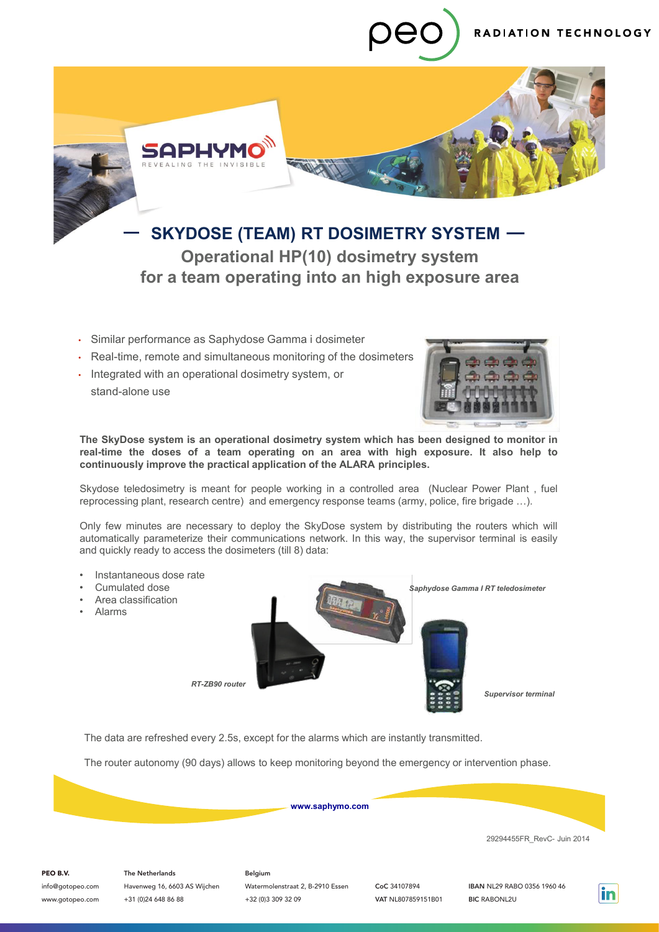



# **SKYDOSE (TEAM) RT DOSIMETRY SYSTEM Operational HP(10) dosimetry system for a team operating into an high exposure area**

- Similar performance as Saphydose Gamma i dosimeter
- Real-time, remote and simultaneous monitoring of the dosimeters
- Integrated with an operational dosimetry system, or stand-alone use



**The SkyDose system is an operational dosimetry system which has been designed to monitor in real-time the doses of a team operating on an area with high exposure. It also help to continuously improve the practical application of the ALARA principles.**

Skydose teledosimetry is meant for people working in a controlled area (Nuclear Power Plant , fuel reprocessing plant, research centre) and emergency response teams (army, police, fire brigade …).

Only few minutes are necessary to deploy the SkyDose system by distributing the routers which will automatically parameterize their communications network. In this way, the supervisor terminal is easily and quickly ready to access the dosimeters (till 8) data:

• Instantaneous dose rate Cumulated dose • Area classification • Alarms *Saphydose Gamma I RT teledosimeter Supervisor terminal RT-ZB90 router*

The data are refreshed every 2.5s, except for the alarms which are instantly transmitted.

The router autonomy (90 days) allows to keep monitoring beyond the emergency or intervention phase.



29294455FR\_RevC- Juin 2014

#### PEO B.V.

info@gotopeo.com www.gotopeo.com

The Netherlands Havenweg 16, 6603 AS Wijchen +31 (0)24 648 86 88

Belgium Watermolenstraat 2, B-2910 Essen +32 (0)3 309 32 09

CoC 34107894 VAT NL807859151B01

IBAN NL29 RABO 0356 1960 46 BIC RABONL2U

in